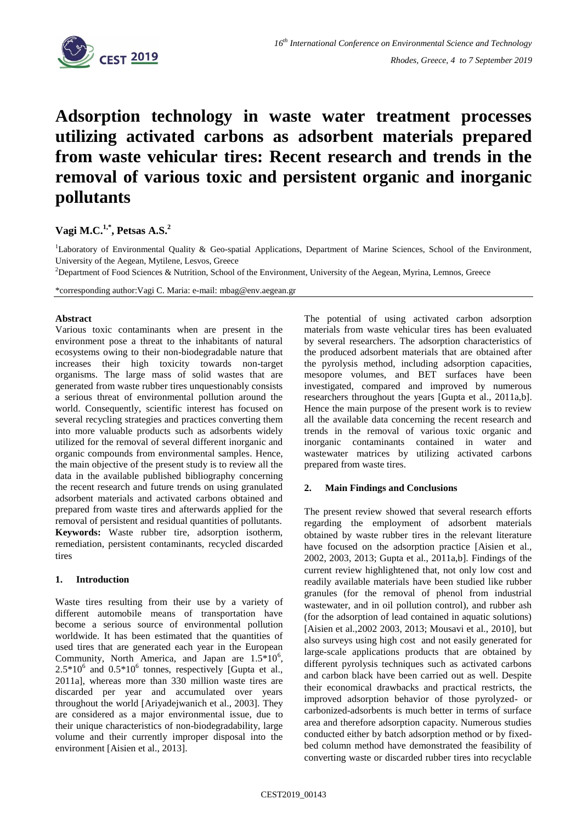

# **Adsorption technology in waste water treatment processes utilizing activated carbons as adsorbent materials prepared from waste vehicular tires: Recent research and trends in the removal of various toxic and persistent organic and inorganic pollutants**

## **Vagi M.C.1,\* , Petsas A.S. 2**

<sup>1</sup>Laboratory of Environmental Quality & Geo-spatial Applications, Department of Marine Sciences, School of the Environment, University of the Aegean, Mytilene, Lesvos, Greece

<sup>2</sup>Department of Food Sciences & Nutrition, School of the Environment, University of the Aegean, Myrina, Lemnos, Greece

\*corresponding author:Vagi C. Maria: e-mail: mbag@env.aegean.gr

### **Abstract**

Various toxic contaminants when are present in the environment pose a threat to the inhabitants of natural ecosystems owing to their non-biodegradable nature that increases their high toxicity towards non-target organisms. The large mass of solid wastes that are generated from waste rubber tires unquestionably consists a serious threat of environmental pollution around the world. Consequently, scientific interest has focused on several recycling strategies and practices converting them into more valuable products such as adsorbents widely utilized for the removal of several different inorganic and organic compounds from environmental samples. Hence, the main objective of the present study is to review all the data in the available published bibliography concerning the recent research and future trends on using granulated adsorbent materials and activated carbons obtained and prepared from waste tires and afterwards applied for the removal of persistent and residual quantities of pollutants. **Keywords:** Waste rubber tire, adsorption isotherm, remediation, persistent contaminants, recycled discarded tires

### **1. Introduction**

Waste tires resulting from their use by a variety of different automobile means of transportation have become a serious source of environmental pollution worldwide. It has been estimated that the quantities of used tires that are generated each year in the European Community, North America, and Japan are  $1.5*10^6$ ,  $2.5*10^6$  and  $0.5*10^6$  tonnes, respectively [Gupta et al., 2011a], whereas more than 330 million waste tires are discarded per year and accumulated over years throughout the world [Ariyadejwanich et al., 2003]. They are considered as a major environmental issue, due to their unique characteristics of non-biodegradability, large volume and their currently improper disposal into the environment [Aisien et al., 2013].

The potential of using activated carbon adsorption materials from waste vehicular tires has been evaluated by several researchers. The adsorption characteristics of the produced adsorbent materials that are obtained after the pyrolysis method, including adsorption capacities, mesopore volumes, and BET surfaces have been investigated, compared and improved by numerous researchers throughout the years [Gupta et al., 2011a,b]. Hence the main purpose of the present work is to review all the available data concerning the recent research and trends in the removal of various toxic organic and inorganic contaminants contained in water and wastewater matrices by utilizing activated carbons prepared from waste tires.

### **2. Main Findings and Conclusions**

The present review showed that several research efforts regarding the employment of adsorbent materials obtained by waste rubber tires in the relevant literature have focused on the adsorption practice [Aisien et al., 2002, 2003, 2013; Gupta et al., 2011a,b]. Findings of the current review highlightened that, not only low cost and readily available materials have been studied like rubber granules (for the removal of phenol from industrial wastewater, and in oil pollution control), and rubber ash (for the adsorption of lead contained in aquatic solutions) [Aisien et al.,2002 2003, 2013; Mousavi et al., 2010], but also surveys using high cost and not easily generated for large-scale applications products that are obtained by different pyrolysis techniques such as activated carbons and carbon black have been carried out as well. Despite their economical drawbacks and practical restricts, the improved adsorption behavior of those pyrolyzed- or carbonized-adsorbents is much better in terms of surface area and therefore adsorption capacity. Numerous studies conducted either by batch adsorption method or by fixedbed column method have demonstrated the feasibility of converting waste or discarded rubber tires into recyclable